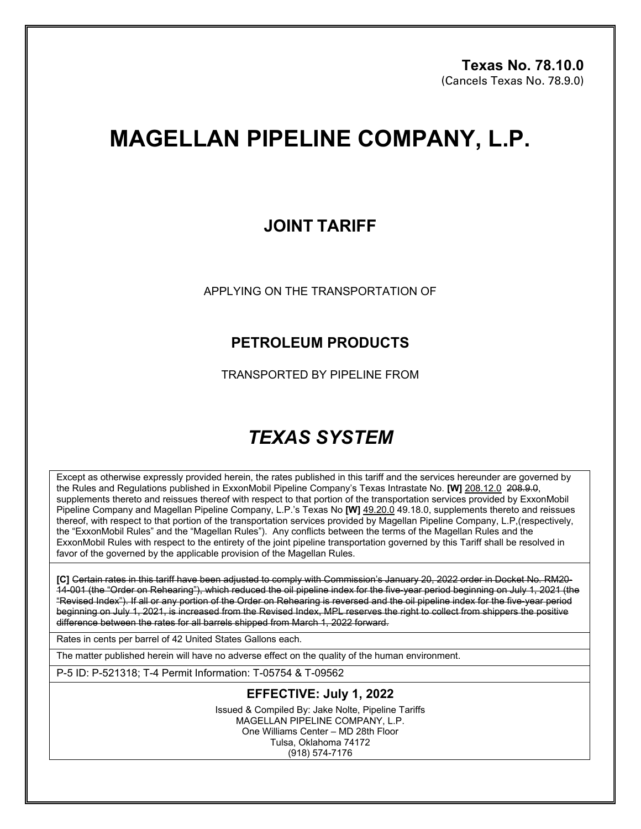# **MAGELLAN PIPELINE COMPANY, L.P.**

## **JOINT TARIFF**

APPLYING ON THE TRANSPORTATION OF

## **PETROLEUM PRODUCTS**

TRANSPORTED BY PIPELINE FROM

# *TEXAS SYSTEM*

Except as otherwise expressly provided herein, the rates published in this tariff and the services hereunder are governed by the Rules and Regulations published in ExxonMobil Pipeline Company's Texas Intrastate No. **[W]** 208.12.0 208.9.0, supplements thereto and reissues thereof with respect to that portion of the transportation services provided by ExxonMobil Pipeline Company and Magellan Pipeline Company, L.P.'s Texas No **[W]** 49.20.0 49.18.0, supplements thereto and reissues thereof, with respect to that portion of the transportation services provided by Magellan Pipeline Company, L.P,(respectively, the "ExxonMobil Rules" and the "Magellan Rules"). Any conflicts between the terms of the Magellan Rules and the ExxonMobil Rules with respect to the entirety of the joint pipeline transportation governed by this Tariff shall be resolved in favor of the governed by the applicable provision of the Magellan Rules.

**[C]** Certain rates in this tariff have been adjusted to comply with Commission's January 20, 2022 order in Docket No. RM20- 14-001 (the "Order on Rehearing"), which reduced the oil pipeline index for the five-year period beginning on July 1, 2021 (the "Revised Index"). If all or any portion of the Order on Rehearing is reversed and the oil pipeline index for the five-year period beginning on July 1, 2021, is increased from the Revised Index, MPL reserves the right to collect from shippers the positive difference between the rates for all barrels shipped from March 1, 2022 forward.

Rates in cents per barrel of 42 United States Gallons each.

The matter published herein will have no adverse effect on the quality of the human environment.

P-5 ID: P-521318; T-4 Permit Information: T-05754 & T-09562

### **EFFECTIVE: July 1, 2022**

Issued & Compiled By: Jake Nolte, Pipeline Tariffs MAGELLAN PIPELINE COMPANY, L.P. One Williams Center – MD 28th Floor Tulsa, Oklahoma 74172 (918) 574-7176